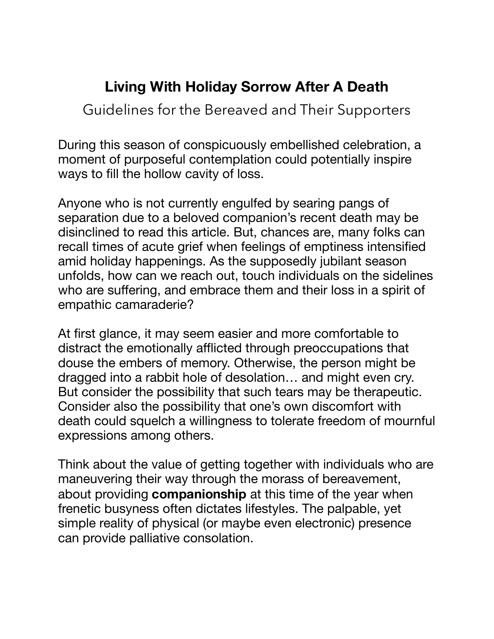## **Living With Holiday Sorrow After A Death**

Guidelines for the Bereaved and Their Supporters

During this season of conspicuously embellished celebration, a moment of purposeful contemplation could potentially inspire ways to fill the hollow cavity of loss.

Anyone who is not currently engulfed by searing pangs of separation due to a beloved companion's recent death may be disinclined to read this article. But, chances are, many folks can recall times of acute grief when feelings of emptiness intensified amid holiday happenings. As the supposedly jubilant season unfolds, how can we reach out, touch individuals on the sidelines who are suffering, and embrace them and their loss in a spirit of empathic camaraderie?

At first glance, it may seem easier and more comfortable to distract the emotionally afflicted through preoccupations that douse the embers of memory. Otherwise, the person might be dragged into a rabbit hole of desolation… and might even cry. But consider the possibility that such tears may be therapeutic. Consider also the possibility that one's own discomfort with death could squelch a willingness to tolerate freedom of mournful expressions among others.

Think about the value of getting together with individuals who are maneuvering their way through the morass of bereavement, about providing **companionship** at this time of the year when frenetic busyness often dictates lifestyles. The palpable, yet simple reality of physical (or maybe even electronic) presence can provide palliative consolation.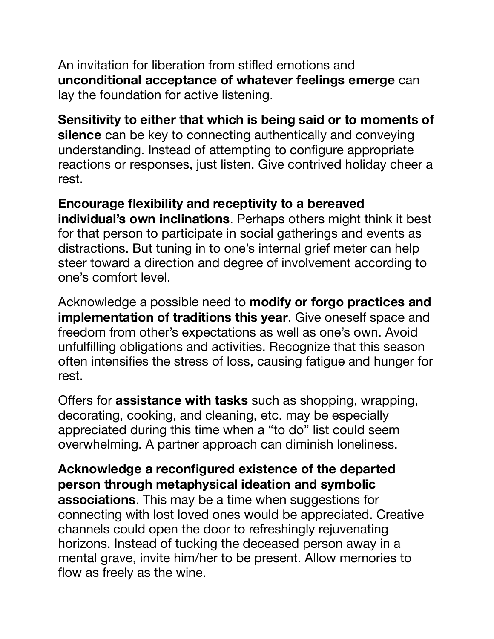An invitation for liberation from stifled emotions and **unconditional acceptance of whatever feelings emerge** can lay the foundation for active listening.

## **Sensitivity to either that which is being said or to moments of**

**silence** can be key to connecting authentically and conveying understanding. Instead of attempting to configure appropriate reactions or responses, just listen. Give contrived holiday cheer a rest.

## **Encourage flexibility and receptivity to a bereaved**

**individual's own inclinations**. Perhaps others might think it best for that person to participate in social gatherings and events as distractions. But tuning in to one's internal grief meter can help steer toward a direction and degree of involvement according to one's comfort level.

Acknowledge a possible need to **modify or forgo practices and implementation of traditions this year**. Give oneself space and freedom from other's expectations as well as one's own. Avoid unfulfilling obligations and activities. Recognize that this season often intensifies the stress of loss, causing fatigue and hunger for rest.

Offers for **assistance with tasks** such as shopping, wrapping, decorating, cooking, and cleaning, etc. may be especially appreciated during this time when a "to do" list could seem overwhelming. A partner approach can diminish loneliness.

## **Acknowledge a reconfigured existence of the departed person through metaphysical ideation and symbolic associations**. This may be a time when suggestions for connecting with lost loved ones would be appreciated. Creative channels could open the door to refreshingly rejuvenating horizons. Instead of tucking the deceased person away in a mental grave, invite him/her to be present. Allow memories to flow as freely as the wine.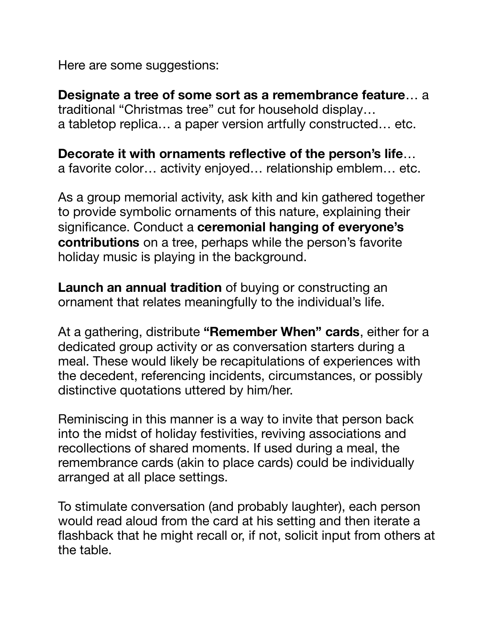Here are some suggestions:

**Designate a tree of some sort as a remembrance feature**… a traditional "Christmas tree" cut for household display… a tabletop replica… a paper version artfully constructed… etc.

**Decorate it with ornaments reflective of the person's life**… a favorite color… activity enjoyed… relationship emblem… etc.

As a group memorial activity, ask kith and kin gathered together to provide symbolic ornaments of this nature, explaining their significance. Conduct a **ceremonial hanging of everyone's contributions** on a tree, perhaps while the person's favorite holiday music is playing in the background.

**Launch an annual tradition** of buying or constructing an ornament that relates meaningfully to the individual's life.

At a gathering, distribute **"Remember When" cards**, either for a dedicated group activity or as conversation starters during a meal. These would likely be recapitulations of experiences with the decedent, referencing incidents, circumstances, or possibly distinctive quotations uttered by him/her.

Reminiscing in this manner is a way to invite that person back into the midst of holiday festivities, reviving associations and recollections of shared moments. If used during a meal, the remembrance cards (akin to place cards) could be individually arranged at all place settings.

To stimulate conversation (and probably laughter), each person would read aloud from the card at his setting and then iterate a flashback that he might recall or, if not, solicit input from others at the table.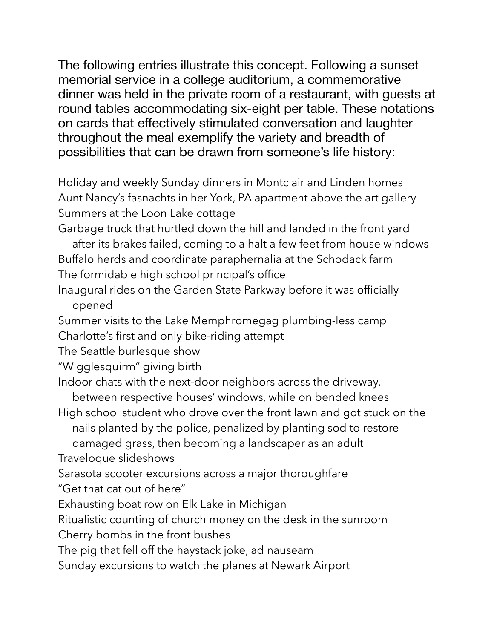The following entries illustrate this concept. Following a sunset memorial service in a college auditorium, a commemorative dinner was held in the private room of a restaurant, with guests at round tables accommodating six-eight per table. These notations on cards that effectively stimulated conversation and laughter throughout the meal exemplify the variety and breadth of possibilities that can be drawn from someone's life history:

Holiday and weekly Sunday dinners in Montclair and Linden homes Aunt Nancy's fasnachts in her York, PA apartment above the art gallery Summers at the Loon Lake cottage

Garbage truck that hurtled down the hill and landed in the front yard

 after its brakes failed, coming to a halt a few feet from house windows Buffalo herds and coordinate paraphernalia at the Schodack farm The formidable high school principal's office

Inaugural rides on the Garden State Parkway before it was officially opened

Summer visits to the Lake Memphromegag plumbing-less camp Charlotte's first and only bike-riding attempt

The Seattle burlesque show

"Wigglesquirm" giving birth

Indoor chats with the next-door neighbors across the driveway,

 between respective houses' windows, while on bended knees High school student who drove over the front lawn and got stuck on the

nails planted by the police, penalized by planting sod to restore

 damaged grass, then becoming a landscaper as an adult Traveloque slideshows

Sarasota scooter excursions across a major thoroughfare "Get that cat out of here"

Exhausting boat row on Elk Lake in Michigan

Ritualistic counting of church money on the desk in the sunroom

Cherry bombs in the front bushes

The pig that fell off the haystack joke, ad nauseam

Sunday excursions to watch the planes at Newark Airport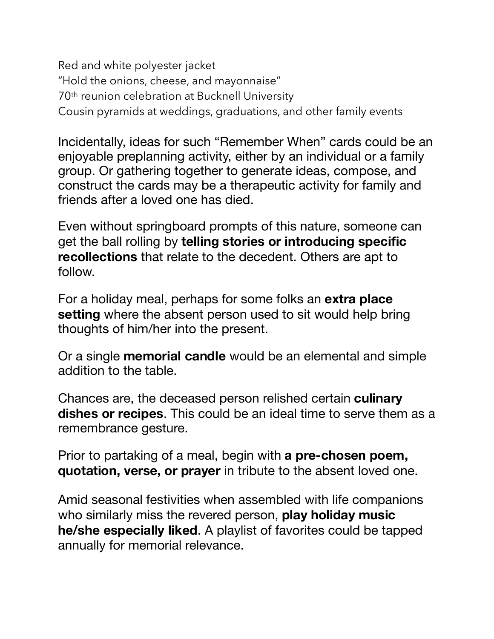Red and white polyester jacket "Hold the onions, cheese, and mayonnaise" 70th reunion celebration at Bucknell University Cousin pyramids at weddings, graduations, and other family events

Incidentally, ideas for such "Remember When" cards could be an enjoyable preplanning activity, either by an individual or a family group. Or gathering together to generate ideas, compose, and construct the cards may be a therapeutic activity for family and friends after a loved one has died.

Even without springboard prompts of this nature, someone can get the ball rolling by **telling stories or introducing specific recollections** that relate to the decedent. Others are apt to follow.

For a holiday meal, perhaps for some folks an **extra place setting** where the absent person used to sit would help bring thoughts of him/her into the present.

Or a single **memorial candle** would be an elemental and simple addition to the table.

Chances are, the deceased person relished certain **culinary dishes or recipes**. This could be an ideal time to serve them as a remembrance gesture.

Prior to partaking of a meal, begin with **a pre-chosen poem, quotation, verse, or prayer** in tribute to the absent loved one.

Amid seasonal festivities when assembled with life companions who similarly miss the revered person, **play holiday music he/she especially liked**. A playlist of favorites could be tapped annually for memorial relevance.